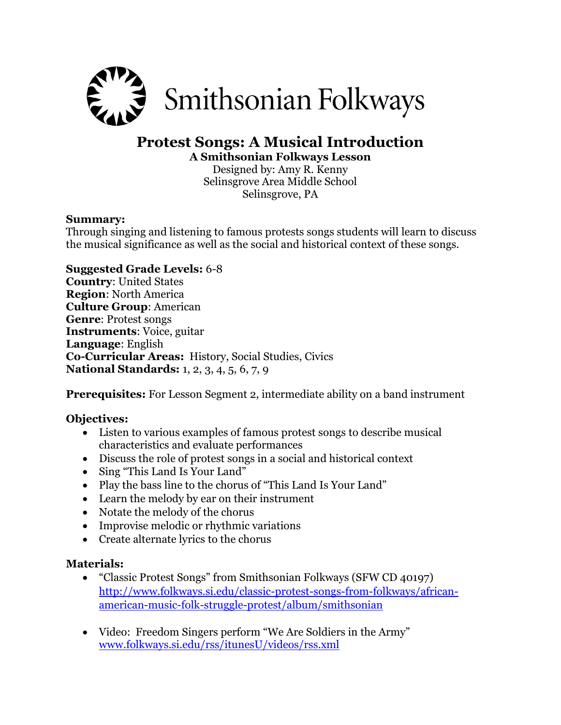

# **Protest Songs: A Musical Introduction A Smithsonian Folkways Lesson**

Designed by: Amy R. Kenny Selinsgrove Area Middle School Selinsgrove, PA

#### **Summary:**

Through singing and listening to famous protests songs students will learn to discuss the musical significance as well as the social and historical context of these songs.

## **Suggested Grade Levels:** 6-8

**Country**: United States **Region**: North America **Culture Group**: American **Genre**: Protest songs **Instruments**: Voice, guitar **Language**: English **Co-Curricular Areas:** History, Social Studies, Civics **National Standards:** 1, 2, 3, 4, 5, 6, 7, 9

**Prerequisites:** For Lesson Segment 2, intermediate ability on a band instrument

## **Objectives:**

- Listen to various examples of famous protest songs to describe musical characteristics and evaluate performances
- Discuss the role of protest songs in a social and historical context
- Sing "This Land Is Your Land"
- Play the bass line to the chorus of "This Land Is Your Land"
- Learn the melody by ear on their instrument
- Notate the melody of the chorus
- Improvise melodic or rhythmic variations
- Create alternate lyrics to the chorus

#### **Materials:**

- "Classic Protest Songs" from Smithsonian Folkways (SFW CD 40197) [http://www.folkways.si.edu/classic-protest-songs-from-folkways/african](http://www.folkways.si.edu/classic-protest-songs-from-folkways/african-american-music-folk-struggle-protest/album/smithsonian)[american-music-folk-struggle-protest/album/smithsonian](http://www.folkways.si.edu/classic-protest-songs-from-folkways/african-american-music-folk-struggle-protest/album/smithsonian)
- Video: Freedom Singers perform "We Are Soldiers in the Army" [www.folkways.si.edu/rss/itunesU/videos/rss.xml](http://www.smithsonianglobalsound.org/rss/itunesU/videos/rss.xml)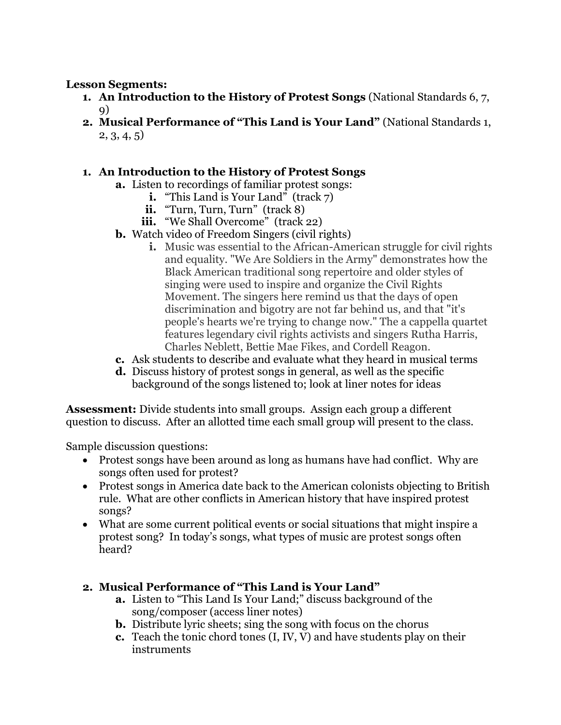### **Lesson Segments:**

- **1. An Introduction to the History of Protest Songs** (National Standards 6, 7, 9)
- **2. Musical Performance of "This Land is Your Land"** (National Standards 1, 2, 3, 4, 5)

## **1. An Introduction to the History of Protest Songs**

- **a.** Listen to recordings of familiar protest songs:
	- **i.** "This Land is Your Land" (track 7)
	- ii. "Turn, Turn, Turn" (track 8)
	- iii. "We Shall Overcome" (track 22)
- **b.** Watch video of Freedom Singers (civil rights)
	- **i.** Music was essential to the African-American struggle for civil rights and equality. "We Are Soldiers in the Army" demonstrates how the Black American traditional song repertoire and older styles of singing were used to inspire and organize the Civil Rights Movement. The singers here remind us that the days of open discrimination and bigotry are not far behind us, and that "it's people's hearts we're trying to change now." The a cappella quartet features legendary civil rights activists and singers Rutha Harris, Charles Neblett, Bettie Mae Fikes, and Cordell Reagon.
- **c.** Ask students to describe and evaluate what they heard in musical terms
- **d.** Discuss history of protest songs in general, as well as the specific background of the songs listened to; look at liner notes for ideas

**Assessment:** Divide students into small groups. Assign each group a different question to discuss. After an allotted time each small group will present to the class.

Sample discussion questions:

- Protest songs have been around as long as humans have had conflict. Why are songs often used for protest?
- Protest songs in America date back to the American colonists objecting to British rule. What are other conflicts in American history that have inspired protest songs?
- What are some current political events or social situations that might inspire a protest song? In today's songs, what types of music are protest songs often heard?

## **2. Musical Performance of "This Land is Your Land"**

- **a.** Listen to "This Land Is Your Land;" discuss background of the song/composer (access liner notes)
- **b.** Distribute lyric sheets; sing the song with focus on the chorus
- **c.** Teach the tonic chord tones (I, IV, V) and have students play on their instruments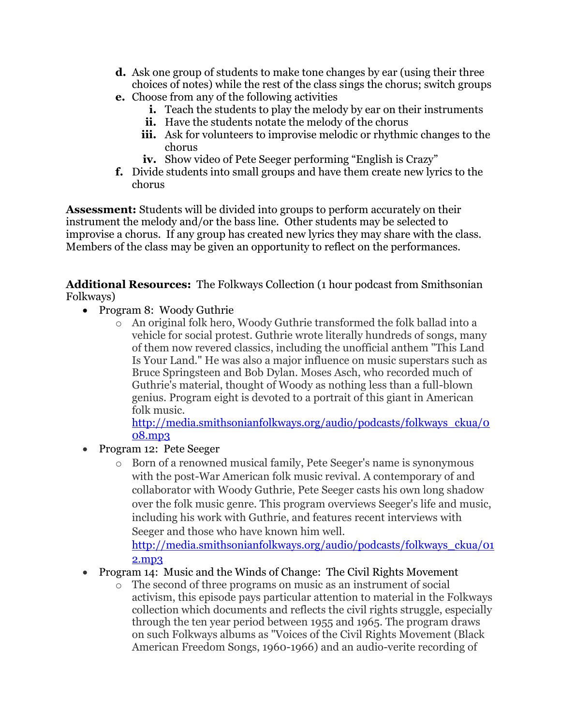- **d.** Ask one group of students to make tone changes by ear (using their three choices of notes) while the rest of the class sings the chorus; switch groups
- **e.** Choose from any of the following activities
	- **i.** Teach the students to play the melody by ear on their instruments
	- **ii.** Have the students notate the melody of the chorus
	- **iii.** Ask for volunteers to improvise melodic or rhythmic changes to the chorus
	- **iv.** Show video of Pete Seeger performing "English is Crazy"
- **f.** Divide students into small groups and have them create new lyrics to the chorus

**Assessment:** Students will be divided into groups to perform accurately on their instrument the melody and/or the bass line. Other students may be selected to improvise a chorus. If any group has created new lyrics they may share with the class. Members of the class may be given an opportunity to reflect on the performances.

**Additional Resources:** The Folkways Collection (1 hour podcast from Smithsonian Folkways)

- Program 8: Woody Guthrie
	- o An original folk hero, Woody Guthrie transformed the folk ballad into a vehicle for social protest. Guthrie wrote literally hundreds of songs, many of them now revered classics, including the unofficial anthem "This Land Is Your Land." He was also a major influence on music superstars such as Bruce Springsteen and Bob Dylan. Moses Asch, who recorded much of Guthrie's material, thought of Woody as nothing less than a full-blown genius. Program eight is devoted to a portrait of this giant in American folk music.

[http://media.smithsonianfolkways.org/audio/podcasts/folkways\\_ckua/0](http://media.smithsonianfolkways.org/audio/podcasts/folkways_ckua/008.mp3) [08.mp3](http://media.smithsonianfolkways.org/audio/podcasts/folkways_ckua/008.mp3)

- Program 12: Pete Seeger
	- o Born of a renowned musical family, Pete Seeger's name is synonymous with the post-War American folk music revival. A contemporary of and collaborator with Woody Guthrie, Pete Seeger casts his own long shadow over the folk music genre. This program overviews Seeger's life and music, including his work with Guthrie, and features recent interviews with Seeger and those who have known him well.

[http://media.smithsonianfolkways.org/audio/podcasts/folkways\\_ckua/01](http://media.smithsonianfolkways.org/audio/podcasts/folkways_ckua/012.mp3) [2.mp3](http://media.smithsonianfolkways.org/audio/podcasts/folkways_ckua/012.mp3)

- Program 14: Music and the Winds of Change: The Civil Rights Movement
	- The second of three programs on music as an instrument of social activism, this episode pays particular attention to material in the Folkways collection which documents and reflects the civil rights struggle, especially through the ten year period between 1955 and 1965. The program draws on such Folkways albums as "Voices of the Civil Rights Movement (Black American Freedom Songs, 1960-1966) and an audio-verite recording of